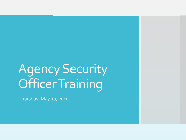# Agency Security Officer Training

Thursday, May 30, 2019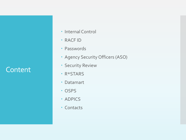#### **Content**

- Internal Control
- RACF ID
- Passwords
- Agency Security Officers (ASO)
- Security Review
- R\*STARS
- Datamart
- OSPS
- · ADPICS
- Contacts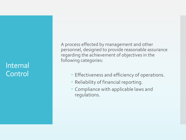#### Internal Control

A process effected by management and other personnel, designed to provide reasonable assurance regarding the achievement of objectives in the following categories:

- Effectiveness and efficiency of operations.
- Reliability of financial reporting.
- Compliance with applicable laws and regulations.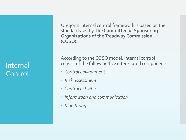#### Internal Control

Oregon's internal control framework is based on the standards set by **The Committee of Sponsoring Organizations of the Treadway Commission**  (COSO).

According to the COSO model, internal control consist of the following five interrelated components:

- *Control environment*
- *Risk assessment*
- *Control activities*
- *Information and communication*
- *Monitoring*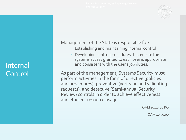

#### Internal **Control**

Management of the State is responsible for:

- Establishing and maintaining internal control
- Developing control procedures that ensure the systems access granted to each user is appropriate and consistent with the user's job duties.

As part of the management, Systems Security must perform activities in the form of directive (policies and procedures), preventive (verifying and validating requests), and detective (Semi-annual Security Review) controls in order to achieve effectiveness and efficient resource usage.

OAM 10.10.00 PO

OAM 10.70.00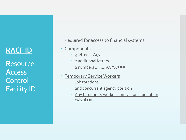## **RACF ID**

**R**esource **A**ccess **C**ontrol **F**acility ID

- Required for access to financial systems
- Components
	- 3 letters Agy
	- 2 additional letters
	- 2 numbers ……… AGYXX##
- Temporary Service Workers
	- Job rotations
	- 2nd concurrent agency position
	- Any temporary worker, contractor, student, or volunteer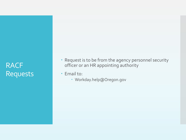# RACF Requests

- Request is to be from the agency personnel security officer or an HR appointing authority
- Email to:
	- Workday.help@Oregon.gov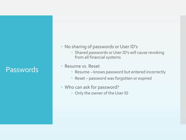#### Passwords

- No sharing of passwords or User ID's
	- Shared passwords or User ID's will cause revoking from all financial systems
- Resume vs. Reset
	- Resume knows password but entered incorrectly
	- Reset password was forgotten or expired
- Who can ask for password?
	- Only the owner of the User ID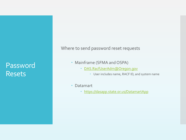#### Password Resets

Where to send password reset requests

- Mainframe (SFMA and OSPA)
	- [DAS.RacfUserAdm@Oregon.gov](mailto:DAS.RacfUserAdm@Oregon.gov)
		- User includes name, RACF ID, and system name
- Datamart
	- [https://dasapp.state.or.us/DatamartApp](https://dasapp.state.or.us/DatamartApp/)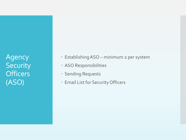Agency **Security Officers** (ASO)

- Establishing ASO minimum 2 per system
- ASO Responsibilities
- Sending Requests
- Email List for Security Officers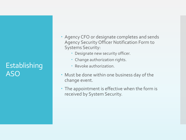# **Establishing** ASO

- Agency CFO or designate completes and sends Agency Security Officer Notification Form to Systems Security:
	- Designate new security officer.
	- Change authorization rights.
	- Revoke authorization.
- Must be done within one business day of the change event.
- The appointment is effective when the form is received by System Security.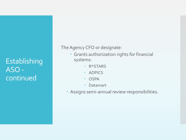Establishing ASO continued

The Agency CFO or designate:

- Grants authorization rights for financial systems:
	- R\*STARS
	- · ADPICS
	- **OSPA**
	- Datamart
- Assigns semi-annual review responsibilities.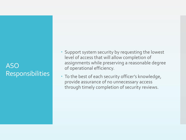#### ASO Responsibilities

- Support system security by requesting the lowest level of access that will allow completion of assignments while preserving a reasonable degree of operational efficiency.
- To the best of each security officer's knowledge, provide assurance of no unnecessary access through timely completion of security reviews.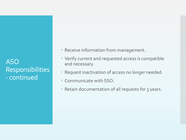ASO Responsibilities - continued

- Receive information from management.
- Verify current and requested access is compatible and necessary.
- Request inactivation of access no longer needed.
- Communicate with SSO.
- Retain documentation of all requests for 3 years.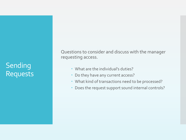# Sending Requests

Questions to consider and discuss with the manager requesting access.

- What are the individual's duties?
- Do they have any current access?
- What kind of transactions need to be processed?
- Does the request support sound internal controls?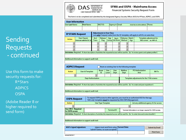

#### **SFMA and OSPA - Mainframe Access**

Financial Systems Security Request Form

This form is to be completed and submitted by the designated Agency Security Officer (ASO) for R\*Stars, ADPICS, and OSPA.

| <b>User Information</b> |                    |                |                  |                                    |  |
|-------------------------|--------------------|----------------|------------------|------------------------------------|--|
| User Last Name:         | <b>First Name:</b> | <b>RACFID:</b> | Agency #: Email: | (must be an active address) Phone: |  |
|                         |                    |                |                  |                                    |  |

|                                                                                                                                             | <b>R*STARS Request</b>                    | <b>Adjustments to User Class</b><br>(use only if request varies from the UC template, will apply to all UCs on same line) |                 |     |       |                                             |     |                                                   |  |  |  |  |  |  |  |  |
|---------------------------------------------------------------------------------------------------------------------------------------------|-------------------------------------------|---------------------------------------------------------------------------------------------------------------------------|-----------------|-----|-------|---------------------------------------------|-----|---------------------------------------------------|--|--|--|--|--|--|--|--|
| <b>Action</b>                                                                                                                               | User Class(s)<br>Form not valid for UC 78 | Acct<br>Trans                                                                                                             | Release<br>Flag | Agy | Batch | Disburse. Batch<br>Group Edit Mode   Method | Agy | Template adjustment for<br>96b screen (ex. WRP=0) |  |  |  |  |  |  |  |  |
|                                                                                                                                             |                                           |                                                                                                                           |                 |     |       |                                             |     |                                                   |  |  |  |  |  |  |  |  |
| ا۳                                                                                                                                          |                                           |                                                                                                                           |                 |     |       |                                             |     |                                                   |  |  |  |  |  |  |  |  |
|                                                                                                                                             |                                           |                                                                                                                           |                 |     |       |                                             |     |                                                   |  |  |  |  |  |  |  |  |
| ob duties: Required - A short description of activities the requested access will be used for. (Ex. "to review grants and update profiles") |                                           |                                                                                                                           |                 |     |       |                                             |     |                                                   |  |  |  |  |  |  |  |  |
|                                                                                                                                             |                                           |                                                                                                                           |                 |     |       |                                             |     |                                                   |  |  |  |  |  |  |  |  |

#### Additional information to support audit trail:

revised 08/2017

| <b>ADPICS Request</b>                          |                                                |                                                                     |                      |                    | Reset an existing User to the following template |                                                                                                                                                         |                        |  |
|------------------------------------------------|------------------------------------------------|---------------------------------------------------------------------|----------------------|--------------------|--------------------------------------------------|---------------------------------------------------------------------------------------------------------------------------------------------------------|------------------------|--|
| Action                                         | <b>User Id Template</b>                        | Buyer<br>Id                                                         | <b>User</b><br>Level | User<br>Dept       | Mailbox<br>Dept                                  | <b>PO</b> Authorization<br>Amt                                                                                                                          | <b>Bill To</b>         |  |
| $\left  \cdot \right $                         | $\overline{\phantom{a}}$                       |                                                                     |                      |                    |                                                  |                                                                                                                                                         |                        |  |
|                                                | <b>Dept Authorization</b>                      |                                                                     |                      |                    | Template adjustments for the 7700 screens        |                                                                                                                                                         |                        |  |
|                                                |                                                |                                                                     |                      |                    |                                                  |                                                                                                                                                         |                        |  |
|                                                |                                                |                                                                     |                      |                    |                                                  | Job duties: Required - A short description of activities the requested access will be used for. (Ex. "to create and post requisitions")                 |                        |  |
|                                                |                                                |                                                                     |                      |                    |                                                  |                                                                                                                                                         |                        |  |
|                                                | Additional information to support audit trail: |                                                                     |                      |                    |                                                  |                                                                                                                                                         |                        |  |
|                                                |                                                |                                                                     |                      |                    |                                                  |                                                                                                                                                         |                        |  |
| <b>OSPA Request</b>                            |                                                |                                                                     |                      |                    |                                                  | To request OSPA access to other agencies, you must be an authorized ASO for that agy.<br>'DAS only' templates must be requested by DAS OSPA Management. |                        |  |
| <b>Action</b>                                  |                                                | <b>User Type Template</b>                                           |                      |                    | List any additional agency #'s for access        |                                                                                                                                                         |                        |  |
| ▼                                              |                                                |                                                                     |                      |                    |                                                  | $\overline{\phantom{a}}$                                                                                                                                |                        |  |
| <b>User OR # - Required</b><br>for OSPA access |                                                |                                                                     |                      | <b>Terminal ID</b> |                                                  | Terminal information is no longer required for OSPA access.                                                                                             |                        |  |
|                                                |                                                |                                                                     |                      |                    |                                                  | Job duties: Required - A short description of activities the requested access will be used for. (Ex. "to enter time and review benefits")               |                        |  |
|                                                |                                                |                                                                     |                      |                    |                                                  |                                                                                                                                                         |                        |  |
|                                                | Additional information to support audit trail: |                                                                     |                      |                    |                                                  |                                                                                                                                                         |                        |  |
|                                                |                                                |                                                                     |                      |                    |                                                  |                                                                                                                                                         |                        |  |
|                                                |                                                |                                                                     |                      |                    |                                                  |                                                                                                                                                         |                        |  |
| ASO's typed signature:                         |                                                | (signer must send form using<br>'submit' button, no scans accepted) |                      |                    | <b>Current Date:</b>                             |                                                                                                                                                         | <b>Submit by Email</b> |  |

#### **Sending** Requests - continued

Use this form to make security requests for: R\*Stars ADPICS **OSPA** 

(Adobe Reader 8 or higher required to send form)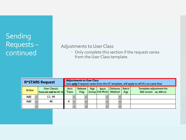# Sending Requests – continued

#### Adjustments to User Class

 Only complete this section if the request varies from the User Class template.

| <b>R*STARS Request</b> | <b>Adjustments to User Class</b><br>(use only if request varies from the UC template, will apply to all UCs on same line) |                                           |               |                          |                 |     |                          |                                             |     |                                                   |
|------------------------|---------------------------------------------------------------------------------------------------------------------------|-------------------------------------------|---------------|--------------------------|-----------------|-----|--------------------------|---------------------------------------------|-----|---------------------------------------------------|
| <b>Action</b>          |                                                                                                                           | User Class(s)<br>Form not valid for UC 78 | Acct<br>Trans |                          | Release<br>Flag | Agy | Batch                    | Disburse. Batch<br>Group Edit Mode   Method | Agy | Template adjustment for<br>96b screen (ex. WRP=0) |
| Add                    |                                                                                                                           | 17, 99                                    |               |                          |                 |     |                          |                                             |     |                                                   |
| Add                    |                                                                                                                           | 48                                        |               | $\overline{\phantom{a}}$ |                 |     |                          |                                             |     |                                                   |
|                        |                                                                                                                           |                                           |               |                          |                 |     | $\overline{\phantom{0}}$ |                                             |     |                                                   |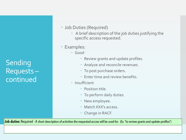Sending Requests – continued

#### Job Duties (Required)

- A brief description of the job duties justifying the specific access requested.
- Examples:
	- Good
		- Review grants and update profiles.
		- Analyze and reconcile revenues.
		- To post purchase orders.
		- Enter time and review benefits
	- Insufficient
		- Position title.
		- To perform daily duties.
		- New employee.
		- Match XXX's access.
		- Change in RACF.

Job duties: Required - A short description of activities the requested access will be used for. (Ex. "to review grants and update profiles")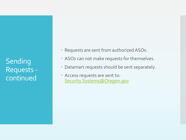Sending Requests continued

- Requests are sent from authorized ASOs.
- ASOs can not make requests for themselves.
- Datamart requests should be sent separately.
- Access requests are sent to: [Security.Systems@Oregon.gov](mailto:Security.Systems@Oregon.gov)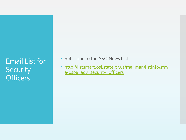# Email List for **Security Officers**

- Subscribe to the ASO News List
- [http://listsmart.osl.state.or.us/mailman/listinfo/sfm](http://listsmart.osl.state.or.us/mailman/listinfo/sfma-ospa_agy_security_officers) a-ospa\_agy\_security\_officers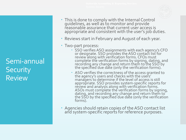

- This is done to comply with the Internal Control guidelines, as well as to monitor and provide reasonable assurance that current user access is appropriate and consistent with the user's job duties.
- Reviews start in February and August of each year.
- Two-part process:
	- SSO verifies ASO assignments with each agency's CFO or designate. SSO provides the ASO contact list for review along with verification forms. CFOs must complete the verification forms by signing, dating, and recording any change and return them to the SSO by the specified due date (only the verification forms).
	- ASO verifies the correctness of the access granted to the agency's users and checks with the users' managers to determine if the level of access is still appropriate. SSO provides system-specific reports for review and analysis along with verification forms. ASOs must complete the verification forms by signing, dating, and recording any change and return them to the SSO by the specified due date (only the verification forms).
- Agencies should retain copies of the ASO contact list and system-specific reports for reference purposes.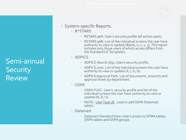

- System-specific Reports.
	- R\*STARS
		- RSTARS 96A. User's security profile (all active users).
		- RSTARS 96B. List of the individual screens the user have authority to view or update (Blank,  $o$ ,  $1$ ,  $2$ ,  $3$ ). This report includes only those users of which access differs from the Standard UC Templates.
	- ADPICS
		- ADPICS 7600 & 7650. User's security profile.
		- ADPICS 7700. List of the individual screens the user have authority to view or update  $(X, I, U, D)$ .
		- ADPICS Approval Path. List of documents, amounts and approval levels by department.
	- OSPA
		- OSPA PUSC. User's security profile and list of the individual screens the user have authority to view or update (N, D, U).
		- NOTE: User Type 78, used to add OSPA Datamart tables.
	- Datamart
		- Datamart Standard View. User's access to SFMA tables, OSPA tables and OSPA groups.

# Semi-annual **Security** Review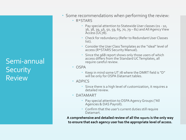## Semi-annual **Security** Review

- Some recommendations when performing the review:
	- R\*STARS
		- Pay special attention to Statewide User classes (01 10, 36, 38, 39, 46, 50, 59, 65, 70, 79 – 81) and All Agency View Access (UC<sub>78</sub>).
		- Check for redundancy (Refer to Redundant User Classes list).
		- Consider the User Class Templates as the "ideal" level of access (R\*STARS Security Manual).
		- Since the 96B report shows only those users of which access differs from the Standard UC Templates, all require careful review.
	- OSPA
		- Keep in mind some UT 78 where the DMRT field is "D" will be only for OSPA Datamart tables.
	- ADPICS
		- Since there is a high level of customization, it requires a detailed review.
	- DATAMART
		- Pay special attention to OSPA Agency Groups ("All Agencies & DAS Payroll).
		- Confirm that the user's current duties still require Datamart.

**A comprehensive and detailed review of all the reports is the only way to ensure that each agency user has the appropriate level of access.**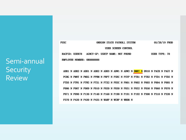#### Semi-annual **Security Review**

**PUSC** OREGON STATE PAYROLL SYSTEM 05/28/19 PROD **USER SCREEN CONTROL RACFID: USER78** AGNCY-GP: USRTP NAME: NOT FOUND **USER TYPE: 78 EMPLOYEE NUMBER: 0R8888888** 

ADB1 N ADB2 N ADD1 N ADD2 N ADD3 N ADW1 N ADW2 N DMRT N D910 N PACH N PAGY N PCHG N PMNT N PMSG N PPRM N PRPT N PSEC N PSYP N PTB1 N PTB2 N PTD1 N PTD2 N PTD3 N PTW1 N PTW2 N PTX1 N PTX2 N PUSC N P001 N P002 N P003 N P004 N P005 N P006 N P007 N P009 N P010 N P020 N P030 N P031 N P032 N P050 N P060 N P070 N P071 N P090 N P130 N P140 N P160 N P190 N P191 N P192 N P300 N P310 N P320 N P370 N P420 N P430 N P435 N WARP N WCRP N WRDB N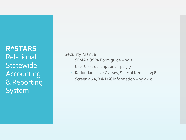**R\*STARS** Relational **Statewide** Accounting & Reporting System

Security Manual

- SFMA / OSPA Form guide pg 2
- User Class descriptions pg 3-7
- Redundant User Classes, Special forms pg 8
- Screen 96 A/B & D66 information pg 9-15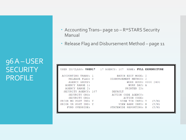96 A –USER **SECURITY** PROFILE

| • Accounting Trans- page 10 - R*STARS Security |
|------------------------------------------------|
| Manual                                         |

Release Flag and Disbursement Method – page 11

|                                                                                                                                                                                                                           | USER ID/CLASS: USER17 17 AGENCY: 107 NAME: FULL EXPENDITURE                                                                                                                                                                                         |
|---------------------------------------------------------------------------------------------------------------------------------------------------------------------------------------------------------------------------|-----------------------------------------------------------------------------------------------------------------------------------------------------------------------------------------------------------------------------------------------------|
| ACCOUNTING TRANS: 1<br>RELEASE FLAG: 0<br>AGENCY GROUP:<br>AGENCY RANGE 1:<br>AGENCY RANGE 2:<br>SECURITY AGENCY: 107<br>SECURITY ORG:<br>SECURITY ORG:<br>PRIOR MO POST IND: Y<br>PRIOR YR POST IND: Y<br>FUND OVERRIDE: | BATCH EDIT MODE: 2<br>DISBURSEMENT METHOD: 2<br>WORK HOUR: 0000 2400<br>WORK DAY: A<br>PRINTER ID:<br>DEFAULT.<br>ACTION CODE AGENCY:<br>ACTION CODE:<br>(Y/N)<br>VIEW TIN INFO: Y<br>(Y/N)<br>VIEW BANK INFO: N<br>(Y/N)<br>STATEWIDE REPORTING: N |
|                                                                                                                                                                                                                           |                                                                                                                                                                                                                                                     |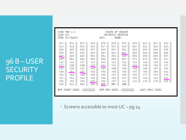## 96 B –USER **SECURITY** PROFILE

| S96B VER 2.0<br>LINK TO:                                                                       | USER ID/CLASS:                                                                          |                                                                                         |                                                                                         | AGY:                                                                                     | STATE OF OREGON<br>SECURITY PROFILE<br>NAME:                                                |                                                                                         |                                                                                           |                                                                                         |                                                                                         |                                                                                         |
|------------------------------------------------------------------------------------------------|-----------------------------------------------------------------------------------------|-----------------------------------------------------------------------------------------|-----------------------------------------------------------------------------------------|------------------------------------------------------------------------------------------|---------------------------------------------------------------------------------------------|-----------------------------------------------------------------------------------------|-------------------------------------------------------------------------------------------|-----------------------------------------------------------------------------------------|-----------------------------------------------------------------------------------------|-----------------------------------------------------------------------------------------|
| DO1<br>D13<br>D24<br>D36<br><u>D47</u><br>D59<br>012<br>027<br>038<br>049<br>062<br>080<br>092 | D02<br>D14<br>D25<br>D37<br>D48<br>D61<br>014<br>28A<br>039<br>051<br>063<br>081<br>093 | DO3<br>D15<br>D26<br>D38<br>D49<br>D62<br>017<br>28B<br>041<br>052<br>064<br>082<br>094 | D04<br>D16<br>D27<br>D39<br>D50<br>D63<br>018<br>029<br>042<br>053<br>065<br>084<br>095 | D05.<br>D17<br>D28<br>D40<br>D51<br>D64<br>020<br>030<br>043<br>054<br>066<br>085<br>096 | $DO6$ .<br>D18<br>D30<br>D41<br>D52<br>D66<br>021<br>031<br>43M<br>055<br>067<br>086<br>097 | D08<br>D19<br>D31<br>D42<br>D53<br>D67<br>022<br>033<br>044<br>056<br>068<br>087<br>101 | D09 -<br>D20<br>D32<br>D43<br>D54<br>D71<br>023<br>034<br>045<br>057<br>069<br>088<br>102 | D10<br>D21<br>D33<br>D44<br>D55<br>D73<br>024<br>035<br>046<br>058<br>077<br>089<br>103 | D11<br>D22<br>D34<br>D45<br>D56<br>D80<br>025<br>036<br>047<br>059<br>078<br>090<br>105 | D12<br>D23<br>D35<br>D46<br>D57<br>010<br>026<br>037<br>048<br>061<br>079<br>091<br>106 |
| 515                                                                                            | 518<br>EFF START DATE: :                                                                | 540                                                                                     | 550                                                                                     | WRP                                                                                      | REC<br>EFF END DATE: :                                                                      | SMR                                                                                     |                                                                                           |                                                                                         | LAST PROC DATE:                                                                         |                                                                                         |

• Screens accessible to most UC - pg 14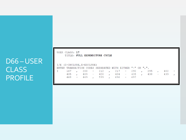# D66 –USER CLASS PROFILE

| I/E (I=INCLUDE, E=EXCLUDE) |  |  |  |  |                                                           |  |  |  |  |  |  |  |  |
|----------------------------|--|--|--|--|-----------------------------------------------------------|--|--|--|--|--|--|--|--|
|                            |  |  |  |  | ENTER TRANSACTION CODES SEPARATED WITH EITHER "-" OR ",". |  |  |  |  |  |  |  |  |
|                            |  |  |  |  | I 167 , 200 - 212 , 217 - 290 , 295 , 402 -               |  |  |  |  |  |  |  |  |
|                            |  |  |  |  | $405$ , $409$ – $420$ , $434$ – $435$ , $438$ – $439$ ,   |  |  |  |  |  |  |  |  |
|                            |  |  |  |  | 468 - 469 , 599 , 696 - 697                               |  |  |  |  |  |  |  |  |

USER CLASS: 17 TITLE: FULL EXPENDITURE CYCLE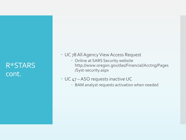#### R\*STARS cont.

- UC 78 All Agency View Access Request
	- Online at SARS Security website http://www.oregon.gov/das/Financial/Acctng/Pages /Syst-security.aspx
- UC 47 ASO requests inactive UC
	- BAM analyst requests activation when needed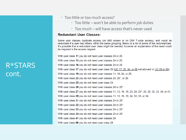#### R\*STARS cont.

- Too little or too much access?
	- Too little won't be able to perform job duties
	- Too much will have access that's never used

#### **Redundant User Classes:**

Some user classes duplicate access (on 96B screen or on D66 T-code access), and would be redundant if a user had others within the same grouping. Below is a list of some of the redundancies. It's possible that a redundant user class might be needed, however an explanation of the need would be required in the access request.

With user class 11 you do not need user classes 24 or 25. With user class 13 you do not need user classes 24 or 25. With user class 16 you do not need user classes 24 or 25. With user class 17 you do not need user class 20 (UC 17, 20, 84, or 88 not allowed w/ UC 28 or 98) With user class 19 you do not need user classes 11, 16, 24, or 25. With user class 23 you do not need user classes 24, 25\*, or 26. With user class 25 you do not need user class 24. With user class 26 you do not need user classes 24 or 25\*. With user class 27 you do not need user classes 11, 13, 16, 19, 23, 24, 25\*, 26, 29, 32, 33, 34, or 41. With user class 29 you do not need user classes 11, 13, 16, 19, 24, 32, 33, or 34. With user class 31 you do not need user classes 24 or 25\*. With user class 32 you do not need user classes 24 or 25\*. With user class 33 you do not need user classes 24 or 25\*. With user class 34 you do not need user classes 24 or 25\*. With user class 41 you do not need user classes 24. With user class 98 you do not need user class 28.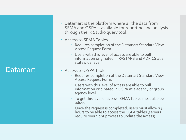#### **Datamart**

 Datamart is the platform where all the data from SFMA and OSPA is available for reporting and analysis through the IR Studio query tool.

#### Access to SFMA Tables.

- Requires completion of the Datamart Standard View Access Request Form.
- Users with this level of access are able to pull information originated in R\*STARS and ADPICS at a statewide level.

#### Access to OSPA Tables.

- Requires completion of the Datamart Standard View Access Request Form.
- Users with this level of access are able to pull information originated in OSPA at a agency or group agency level.
- To get this level of access, SFMA Tables must also be added.
- Once the request is completed, users must allow 24 hours to be able to access the OSPA tables (servers require overnight process to update the access).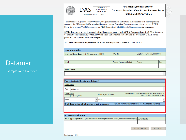

The authorized Agency Security Officer (ASO) must complete and submit this form for each user requesting access to the SFMA and OSPA standard Datamart views. For other Datamart access, please contact: PPDB Security at group.PPDB@oregon.gov or PICS Security at ORBITS.Help@oregon.gov for assistance.

SFMA Datamart access is granted with all requests, even if only OSPA Datamart is desired. This form must be submitted electronically by the ASO who signs and dates the request using the 'Submit by E-mail' button provided. No scanned forms are accepted.

All Datamart access is subject to the six-month review process as stated in OAM 10.70.00

| <b>User Information</b>                           |                          |        |                             |  |  |  |
|---------------------------------------------------|--------------------------|--------|-----------------------------|--|--|--|
| Employee Name: Last, First, MI (as shown in PPDB) | <b>RACE ID:</b>          |        | Employee Number (OR#######) |  |  |  |
|                                                   |                          |        |                             |  |  |  |
| Email:                                            | Agency Number: (5-digit) | Phone: | Ext.                        |  |  |  |
|                                                   |                          |        |                             |  |  |  |
| Agency Name:                                      |                          |        |                             |  |  |  |
|                                                   |                          |        |                             |  |  |  |

|                    | Please indicate the standard view(s)                                                                                       |  |                           |                                                    |                                                                                                        |  |  |  |  |  |  |
|--------------------|----------------------------------------------------------------------------------------------------------------------------|--|---------------------------|----------------------------------------------------|--------------------------------------------------------------------------------------------------------|--|--|--|--|--|--|
|                    | <b>SFMA Tables</b>                                                                                                         |  |                           |                                                    |                                                                                                        |  |  |  |  |  |  |
| Yes                | <b>Add Access</b>                                                                                                          |  |                           |                                                    |                                                                                                        |  |  |  |  |  |  |
| <b>OSPA Tables</b> | Agency only view                                                                                                           |  | <b>OSPA Agency Group:</b> |                                                    | (Request only if multiple agency views are required and your<br>agency is part of the selected group.) |  |  |  |  |  |  |
| None               |                                                                                                                            |  | None                      |                                                    |                                                                                                        |  |  |  |  |  |  |
|                    | <b>Brief description of job duties requiring access</b>                                                                    |  |                           | (Ex. To review expenditures for manager's reports) |                                                                                                        |  |  |  |  |  |  |
|                    |                                                                                                                            |  |                           |                                                    |                                                                                                        |  |  |  |  |  |  |
|                    |                                                                                                                            |  |                           |                                                    |                                                                                                        |  |  |  |  |  |  |
|                    | <b>Access Authorization</b>                                                                                                |  |                           |                                                    |                                                                                                        |  |  |  |  |  |  |
|                    | (signer must send form using the 'submit' button, no scans will be accepted) Current Date:<br><b>ASO's typed signature</b> |  |                           |                                                    |                                                                                                        |  |  |  |  |  |  |
|                    |                                                                                                                            |  |                           |                                                    |                                                                                                        |  |  |  |  |  |  |
|                    |                                                                                                                            |  |                           |                                                    |                                                                                                        |  |  |  |  |  |  |

#### **Datamart**

Examples and Exercises

**Submit by Email** 

**Print Form**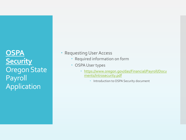**OSPA Security** Oregon State Payroll Application

- Requesting User Access
	- Required information on form
	- OSPA User types
		- [https://www.oregon.gov/das/Financial/Payroll/Docu](https://www.oregon.gov/das/Financial/Payroll/Documents/Introsecurity.pdf) ments/Introsecurity.pdf
			- **·** Introduction to OSPA Security document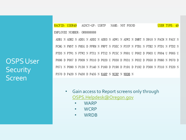RACFID: USER49 AGNCY-GP: USRTP NAME: NOT FOUND USER TYPE: 49

OSPS User **Security** Screen

EMPLOYEE NUMBER: 0R8888888 ADB1 N ADB2 N ADD1 N ADD2 N ADD3 N ADW1 N ADW2 N DMRT N D910 N PACH N PAGY N PCHG N PMNT N PMSG D PPRM N PRPT N PSEC N PSYP N PTB1 N PTB2 N PTD1 N PTD2 N PTD3 N PTW1 N PTW2 N PTX1 N PTX2 N PUSC N P001 U P002 D P003 U P004 U P005 U P006 D P007 D P009 N P010 D P020 U P030 D P031 N P032 D P050 D P060 N P070 D P071 N P090 N P130 N P140 N P160 D P190 D P191 D P192 D P300 N P310 N P320 N P370 D P420 N P430 D P435 N WARP N WCRP N WRDB N

- Gain access to Report screens only through [OSPS.Helpdesk@Oregon.gov](mailto:OSPS.Helpdesk@Oregon.gov)
	- WARP
	- WCRP
	- WRDB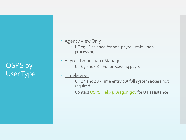OSPS by User Type

- Agency View Only
	- UT 79 Designed for non-payroll staff non processing
- Payroll Technician / Manager
	- UT 69 and 68 For processing payroll
- Timekeeper
	- UT 49 and 48 Time entry but full system access not required
	- Contact [OSPS.Help@Oregon.gov](mailto:OSPS.Help@Oregon.gov) for UT assistance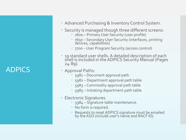# ADPICS

- Advanced Purchasing & Inventory Control System.
- Security is managed though three different screens:
	- 7600 Primary User Security (user profile)
	- 7650 Secondary User Security (interfaces, printing devices, capabilities)
	- 7700 User Program Security (access control)
- 19 standard user shells. A detailed description of each shell is included in the ADPICS Security Manual (Pages 24 -89).
- Approval Paths:
	- 5981 Document approval path
	- 5982 Department approval path table
	- 5983 Commodity approval path table
	- 5985 Initiating department path table
- Electronic Signatures.
	- 5984 Signature table maintenance.
	- No form is required.
	- Requests to reset ADPICS signature must be emailed by the ASO (include user's name and RACF ID).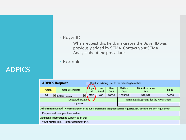#### Buyer ID

- When request this field, make sure the Buyer ID was previously added by SFMA. Contact your SFMA Analyst about the procedure.
- Example

| <b>ADPICS Request</b>                          |                                                                                                                                              | Reset an existing User to the following template |                                           |              |                        |                         |                |  |  |  |  |  |
|------------------------------------------------|----------------------------------------------------------------------------------------------------------------------------------------------|--------------------------------------------------|-------------------------------------------|--------------|------------------------|-------------------------|----------------|--|--|--|--|--|
| Action                                         | User Id Template                                                                                                                             | <b>Buyer</b><br>Id                               | User<br>Level                             | User<br>Dept | <b>Mailbox</b><br>Dept | PO Authorization<br>Amt | <b>Bill To</b> |  |  |  |  |  |
| Add                                            | BUYER1 - approv<br>$\overline{\phantom{a}}$                                                                                                  | <b>MED</b>                                       | 400                                       | 10036        | 1003699                | 999,999                 | 04550          |  |  |  |  |  |
|                                                | Dept Authorization                                                                                                                           |                                                  | Template adjustments for the 7700 screens |              |                        |                         |                |  |  |  |  |  |
|                                                | $100***$                                                                                                                                     |                                                  |                                           |              |                        |                         |                |  |  |  |  |  |
|                                                | Job duties: Required - A brief description of job duties that require the specific access requested. (Ex. "to create and post requisitions") |                                                  |                                           |              |                        |                         |                |  |  |  |  |  |
| Prepare and post purchase orders               |                                                                                                                                              |                                                  |                                           |              |                        |                         |                |  |  |  |  |  |
| Additional information to support audit trail: |                                                                                                                                              |                                                  |                                           |              |                        |                         |                |  |  |  |  |  |
|                                                | * Set printer HIJB - 60 for document POC                                                                                                     |                                                  |                                           |              |                        |                         |                |  |  |  |  |  |

#### ADPICS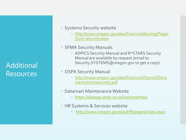Additional Resources

- Systems Security website
	- [http://www.oregon.gov/das/Financial/Acctng/Pages](http://www.oregon.gov/das/Financial/Acctng/Pages/Syst-security.aspx) /Syst-security.aspx
- SFMA Security Manuals
	- ADPICS Security Manual and R\*STARS Security Manual are available by request (email to Security.SYSTEMS@oregon.gov to get a copy).
- OSPA Security Manual
	- [http://www.oregon.gov/das/Financial/Payroll/Docu](http://www.oregon.gov/das/Financial/Payroll/Documents/Introsecurity.pdf) ments/Introsecurity.pdf
- Datamart Maintenance Website
	- <https://dasapp.state.or.us/DatamartApp>
- HR Systems & Services website
	- <http://www.oregon.gov/das/HR/pages/index.aspx>